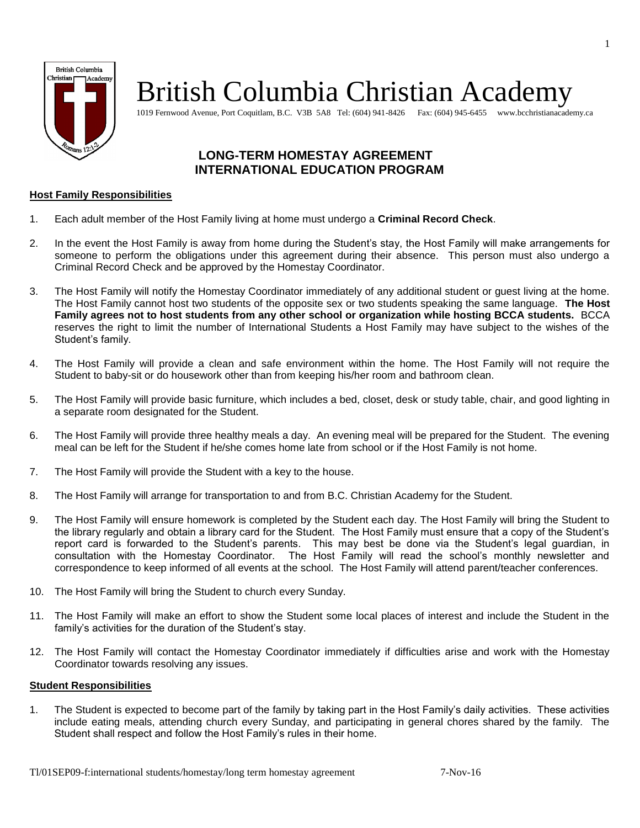

# British Columbia Christian Academy

1019 Fernwood Avenue, Port Coquitlam, B.C. V3B 5A8 Tel: (604) 941-8426 Fax: (604) 945-6455 www.bcchristianacademy.ca

### **LONG-TERM HOMESTAY AGREEMENT INTERNATIONAL EDUCATION PROGRAM**

#### **Host Family Responsibilities**

- 1. Each adult member of the Host Family living at home must undergo a **Criminal Record Check**.
- 2. In the event the Host Family is away from home during the Student's stay, the Host Family will make arrangements for someone to perform the obligations under this agreement during their absence. This person must also undergo a Criminal Record Check and be approved by the Homestay Coordinator.
- 3. The Host Family will notify the Homestay Coordinator immediately of any additional student or guest living at the home. The Host Family cannot host two students of the opposite sex or two students speaking the same language. **The Host Family agrees not to host students from any other school or organization while hosting BCCA students.** BCCA reserves the right to limit the number of International Students a Host Family may have subject to the wishes of the Student's family.
- 4. The Host Family will provide a clean and safe environment within the home. The Host Family will not require the Student to baby-sit or do housework other than from keeping his/her room and bathroom clean.
- 5. The Host Family will provide basic furniture, which includes a bed, closet, desk or study table, chair, and good lighting in a separate room designated for the Student.
- 6. The Host Family will provide three healthy meals a day. An evening meal will be prepared for the Student. The evening meal can be left for the Student if he/she comes home late from school or if the Host Family is not home.
- 7. The Host Family will provide the Student with a key to the house.
- 8. The Host Family will arrange for transportation to and from B.C. Christian Academy for the Student.
- 9. The Host Family will ensure homework is completed by the Student each day. The Host Family will bring the Student to the library regularly and obtain a library card for the Student. The Host Family must ensure that a copy of the Student's report card is forwarded to the Student's parents. This may best be done via the Student's legal guardian, in consultation with the Homestay Coordinator. The Host Family will read the school's monthly newsletter and correspondence to keep informed of all events at the school. The Host Family will attend parent/teacher conferences.
- 10. The Host Family will bring the Student to church every Sunday.
- 11. The Host Family will make an effort to show the Student some local places of interest and include the Student in the family's activities for the duration of the Student's stay.
- 12. The Host Family will contact the Homestay Coordinator immediately if difficulties arise and work with the Homestay Coordinator towards resolving any issues.

#### **Student Responsibilities**

1. The Student is expected to become part of the family by taking part in the Host Family's daily activities. These activities include eating meals, attending church every Sunday, and participating in general chores shared by the family. The Student shall respect and follow the Host Family's rules in their home.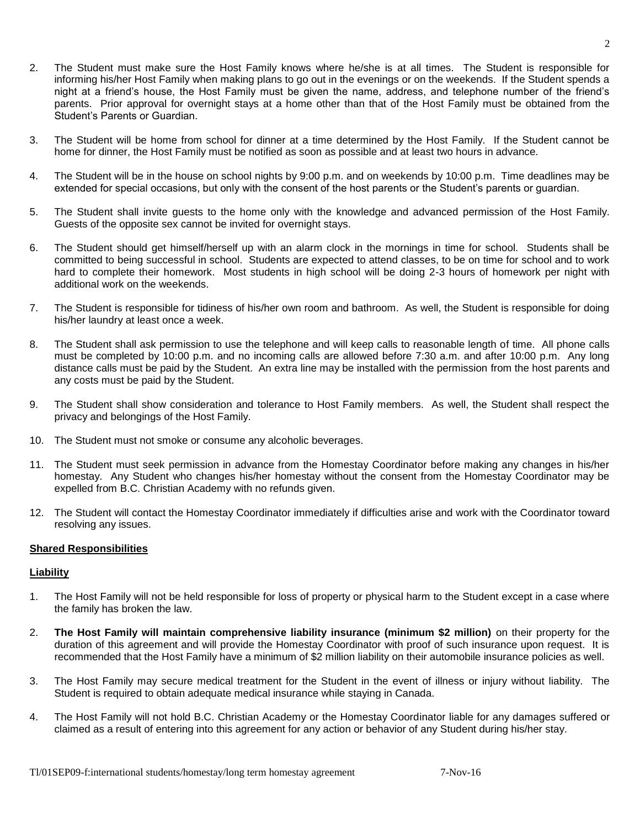- 3. The Student will be home from school for dinner at a time determined by the Host Family. If the Student cannot be home for dinner, the Host Family must be notified as soon as possible and at least two hours in advance.
- 4. The Student will be in the house on school nights by 9:00 p.m. and on weekends by 10:00 p.m. Time deadlines may be extended for special occasions, but only with the consent of the host parents or the Student's parents or guardian.
- 5. The Student shall invite guests to the home only with the knowledge and advanced permission of the Host Family. Guests of the opposite sex cannot be invited for overnight stays.
- 6. The Student should get himself/herself up with an alarm clock in the mornings in time for school. Students shall be committed to being successful in school. Students are expected to attend classes, to be on time for school and to work hard to complete their homework. Most students in high school will be doing 2-3 hours of homework per night with additional work on the weekends.
- 7. The Student is responsible for tidiness of his/her own room and bathroom. As well, the Student is responsible for doing his/her laundry at least once a week.
- 8. The Student shall ask permission to use the telephone and will keep calls to reasonable length of time. All phone calls must be completed by 10:00 p.m. and no incoming calls are allowed before 7:30 a.m. and after 10:00 p.m. Any long distance calls must be paid by the Student. An extra line may be installed with the permission from the host parents and any costs must be paid by the Student.
- 9. The Student shall show consideration and tolerance to Host Family members. As well, the Student shall respect the privacy and belongings of the Host Family.
- 10. The Student must not smoke or consume any alcoholic beverages.
- 11. The Student must seek permission in advance from the Homestay Coordinator before making any changes in his/her homestay. Any Student who changes his/her homestay without the consent from the Homestay Coordinator may be expelled from B.C. Christian Academy with no refunds given.
- 12. The Student will contact the Homestay Coordinator immediately if difficulties arise and work with the Coordinator toward resolving any issues.

#### **Shared Responsibilities**

#### **Liability**

- 1. The Host Family will not be held responsible for loss of property or physical harm to the Student except in a case where the family has broken the law.
- 2. **The Host Family will maintain comprehensive liability insurance (minimum \$2 million)** on their property for the duration of this agreement and will provide the Homestay Coordinator with proof of such insurance upon request. It is recommended that the Host Family have a minimum of \$2 million liability on their automobile insurance policies as well.
- 3. The Host Family may secure medical treatment for the Student in the event of illness or injury without liability. The Student is required to obtain adequate medical insurance while staying in Canada.
- 4. The Host Family will not hold B.C. Christian Academy or the Homestay Coordinator liable for any damages suffered or claimed as a result of entering into this agreement for any action or behavior of any Student during his/her stay.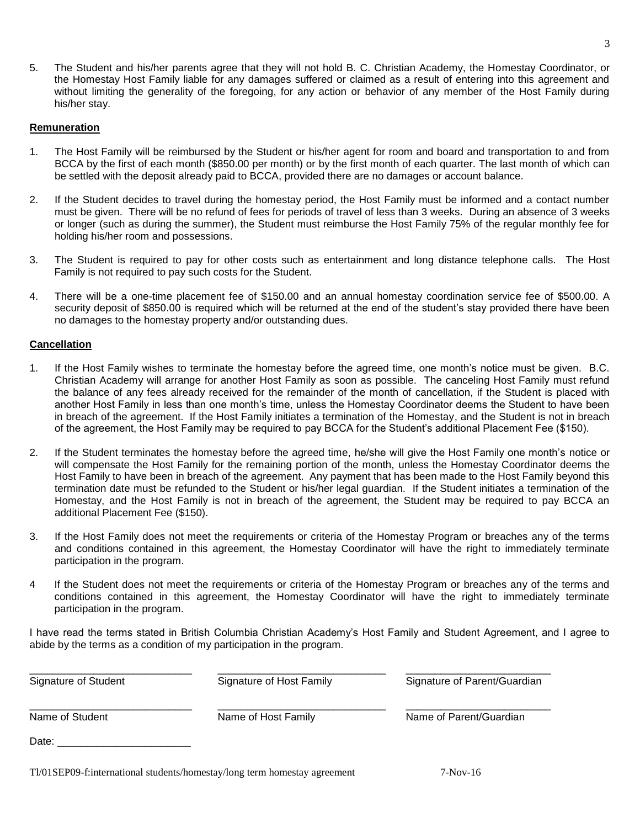5. The Student and his/her parents agree that they will not hold B. C. Christian Academy, the Homestay Coordinator, or the Homestay Host Family liable for any damages suffered or claimed as a result of entering into this agreement and without limiting the generality of the foregoing, for any action or behavior of any member of the Host Family during his/her stay.

#### **Remuneration**

- 1. The Host Family will be reimbursed by the Student or his/her agent for room and board and transportation to and from BCCA by the first of each month (\$850.00 per month) or by the first month of each quarter. The last month of which can be settled with the deposit already paid to BCCA, provided there are no damages or account balance.
- 2. If the Student decides to travel during the homestay period, the Host Family must be informed and a contact number must be given. There will be no refund of fees for periods of travel of less than 3 weeks. During an absence of 3 weeks or longer (such as during the summer), the Student must reimburse the Host Family 75% of the regular monthly fee for holding his/her room and possessions.
- 3. The Student is required to pay for other costs such as entertainment and long distance telephone calls. The Host Family is not required to pay such costs for the Student.
- 4. There will be a one-time placement fee of \$150.00 and an annual homestay coordination service fee of \$500.00. A security deposit of \$850.00 is required which will be returned at the end of the student's stay provided there have been no damages to the homestay property and/or outstanding dues.

#### **Cancellation**

- 1. If the Host Family wishes to terminate the homestay before the agreed time, one month's notice must be given. B.C. Christian Academy will arrange for another Host Family as soon as possible. The canceling Host Family must refund the balance of any fees already received for the remainder of the month of cancellation, if the Student is placed with another Host Family in less than one month's time, unless the Homestay Coordinator deems the Student to have been in breach of the agreement. If the Host Family initiates a termination of the Homestay, and the Student is not in breach of the agreement, the Host Family may be required to pay BCCA for the Student's additional Placement Fee (\$150).
- 2. If the Student terminates the homestay before the agreed time, he/she will give the Host Family one month's notice or will compensate the Host Family for the remaining portion of the month, unless the Homestay Coordinator deems the Host Family to have been in breach of the agreement. Any payment that has been made to the Host Family beyond this termination date must be refunded to the Student or his/her legal guardian. If the Student initiates a termination of the Homestay, and the Host Family is not in breach of the agreement, the Student may be required to pay BCCA an additional Placement Fee (\$150).
- 3. If the Host Family does not meet the requirements or criteria of the Homestay Program or breaches any of the terms and conditions contained in this agreement, the Homestay Coordinator will have the right to immediately terminate participation in the program.
- 4 If the Student does not meet the requirements or criteria of the Homestay Program or breaches any of the terms and conditions contained in this agreement, the Homestay Coordinator will have the right to immediately terminate participation in the program.

I have read the terms stated in British Columbia Christian Academy's Host Family and Student Agreement, and I agree to abide by the terms as a condition of my participation in the program.

| Signature of Student | Signature of Host Family | Signature of Parent/Guardian |  |
|----------------------|--------------------------|------------------------------|--|
| Name of Student      | Name of Host Family      | Name of Parent/Guardian      |  |
| Date:                |                          |                              |  |